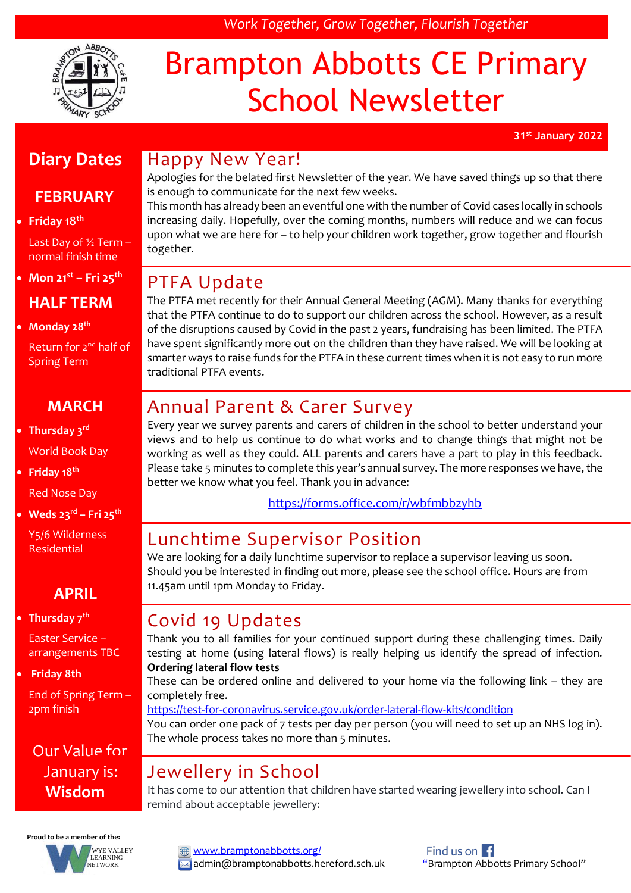# Brampton Abbotts CE Primary School Newsletter

*Work Together, Grow Together, Flourish Together*

**31st January 2022**

# **Diary Dates**

### **FEBRUARY**

### • **Friday 18th**

Last Day of ½ Term – normal finish time

• **Mon 21st – Fri 25th**

### **HALF TERM**

• **Monday 28th**

Return for 2<sup>nd</sup> half of Spring Term

### **MARCH**

• **Thursday 3rd** World Book Day

• **Friday 18th**

Red Nose Day

• **Weds 23rd – Fri 25th**

Y5/6 Wilderness Residential

### **APRIL**

### • **Thursday 7th**

Easter Service – arrangements TBC

### • **Friday 8th**

End of Spring Term – 2pm finish

Our Value for January is: **Wisdom**



### Happy New Year!

Apologies for the belated first Newsletter of the year. We have saved things up so that there is enough to communicate for the next few weeks.

This month has already been an eventful one with the number of Covid cases locally in schools increasing daily. Hopefully, over the coming months, numbers will reduce and we can focus upon what we are here for – to help your children work together, grow together and flourish together.

### PTFA Update

The PTFA met recently for their Annual General Meeting (AGM). Many thanks for everything that the PTFA continue to do to support our children across the school. However, as a result of the disruptions caused by Covid in the past 2 years, fundraising has been limited. The PTFA have spent significantly more out on the children than they have raised. We will be looking at smarter ways to raise funds for the PTFA in these current times when it is not easy to run more traditional PTFA events.

### Annual Parent & Carer Survey

Every year we survey parents and carers of children in the school to better understand your views and to help us continue to do what works and to change things that might not be working as well as they could. ALL parents and carers have a part to play in this feedback. Please take 5 minutes to complete this year's annual survey. The more responses we have, the better we know what you feel. Thank you in advance:

<https://forms.office.com/r/wbfmbbzyhb>

### Lunchtime Supervisor Position

We are looking for a daily lunchtime supervisor to replace a supervisor leaving us soon. Should you be interested in finding out more, please see the school office. Hours are from 11.45am until 1pm Monday to Friday.

# Covid 19 Updates

Thank you to all families for your continued support during these challenging times. Daily testing at home (using lateral flows) is really helping us identify the spread of infection. **Ordering lateral flow tests**

These can be ordered online and delivered to your home via the following link – they are completely free.

<https://test-for-coronavirus.service.gov.uk/order-lateral-flow-kits/condition>

You can order one pack of 7 tests per day per person (you will need to set up an NHS log in). The whole process takes no more than 5 minutes.

# Jewellery in School

It has come to our attention that children have started wearing jewellery into school. Can I remind about acceptable jewellery:

[www.bramptonabbotts.org/](http://www.bramptonabbotts.org/)  $\boxtimes$  admin@bramptonabbotts.hereford.sch.uk "Brampton Abbotts Primary School"